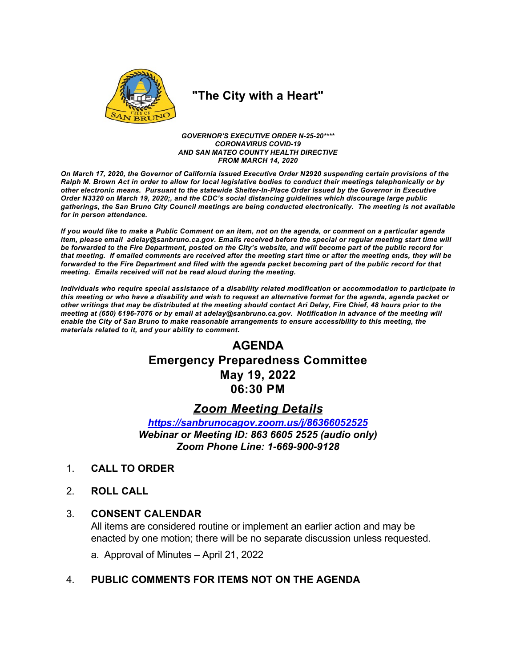

# "The City with a Heart"

GOVERNOR'S EXECUTIVE ORDER N-25-20\*\*\*\* **CORONAVIRUS COVID-19** AND SAN MATEO COUNTY HEALTH DIRECTIVE **FROM MARCH 14, 2020** 

On March 17, 2020, the Governor of California issued Executive Order N2920 suspending certain provisions of the Ralph M. Brown Act in order to allow for local legislative bodies to conduct their meetings telephonically or by other electronic means. Pursuant to the statewide Shelter-In-Place Order issued by the Governor in Executive Order N3320 on March 19, 2020;, and the CDC's social distancing guidelines which discourage large public gatherings, the San Bruno City Council meetings are being conducted electronically. The meeting is not available for in person attendance.

If you would like to make a Public Comment on an item, not on the agenda, or comment on a particular agenda item, please email adelay@sanbruno.ca.gov. Emails received before the special or regular meeting start time will be forwarded to the Fire Department, posted on the City's website, and will become part of the public record for that meeting. If emailed comments are received after the meeting start time or after the meeting ends, they will be forwarded to the Fire Department and filed with the agenda packet becoming part of the public record for that meeting. Emails received will not be read aloud during the meeting.

Individuals who require special assistance of a disability related modification or accommodation to participate in this meeting or who have a disability and wish to request an alternative format for the agenda, agenda packet or other writings that may be distributed at the meeting should contact Ari Delay, Fire Chief, 48 hours prior to the meeting at (650) 6196-7076 or by email at adelay@sanbruno.ca.gov. Notification in advance of the meeting will enable the City of San Bruno to make reasonable arrangements to ensure accessibility to this meeting, the materials related to it, and your ability to comment.

# **AGENDA Emergency Preparedness Committee** May 19, 2022 06:30 PM

## **Zoom Meeting Details**

https://sanbrunocagov.zoom.us/j/86366052525 Webinar or Meeting ID: 863 6605 2525 (audio only) Zoom Phone Line: 1-669-900-9128

- $1<sup>1</sup>$ **CALL TO ORDER**
- $2<sup>1</sup>$ **ROLL CALL**

#### $3_{-}$ **CONSENT CALENDAR**

All items are considered routine or implement an earlier action and may be enacted by one motion; there will be no separate discussion unless requested.

a. Approval of Minutes - April 21, 2022

#### PUBLIC COMMENTS FOR ITEMS NOT ON THE AGENDA  $\overline{4}$